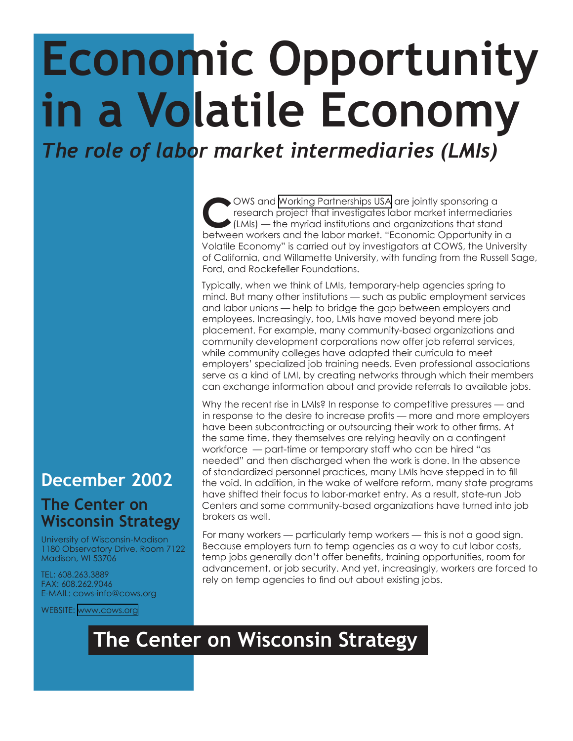## **Economic Opportunity in a Volatile Economy** *The role of labor market intermediaries (LMIs)*

OWS and [Working Partnerships USA](http://www.wpusa.org/) are jointly sponsoring a research project that investigates labor market intermediaries (LMIs) — the myriad institutions and organizations that stand between workers and the labor market "E research project that investigates labor market intermediaries between workers and the labor market. "Economic Opportunity in a Volatile Economy" is carried out by investigators at COWS, the University of California, and Willamette University, with funding from the Russell Sage, Ford, and Rockefeller Foundations.

Typically, when we think of LMIs, temporary-help agencies spring to mind. But many other institutions — such as public employment services and labor unions — help to bridge the gap between employers and employees. Increasingly, too, LMIs have moved beyond mere job placement. For example, many community-based organizations and community development corporations now offer job referral services, while community colleges have adapted their curricula to meet employers' specialized job training needs. Even professional associations serve as a kind of LMI, by creating networks through which their members can exchange information about and provide referrals to available jobs.

Why the recent rise in LMIs? In response to competitive pressures — and in response to the desire to increase profits — more and more employers have been subcontracting or outsourcing their work to other firms. At the same time, they themselves are relying heavily on a contingent workforce — part-time or temporary staff who can be hired "as needed" and then discharged when the work is done. In the absence of standardized personnel practices, many LMIs have stepped in to fill the void. In addition, in the wake of welfare reform, many state programs have shifted their focus to labor-market entry. As a result, state-run Job Centers and some community-based organizations have turned into job brokers as well.

For many workers — particularly temp workers — this is not a good sign. Because employers turn to temp agencies as a way to cut labor costs, temp jobs generally don't offer benefits, training opportunities, room for advancement, or job security. And yet, increasingly, workers are forced to rely on temp agencies to find out about existing jobs.

## **December 2002**

## **The Center on Wisconsin Strategy**

University of Wisconsin-Madison 1180 Observatory Drive, Room 7122 Madison, WI 53706

TEL: 608.263.3889 FAX: 608.262.9046 E-MAIL: cows-info@cows.org

WEBSITE: <www.cows.org>

## **The Center on Wisconsin Strategy**